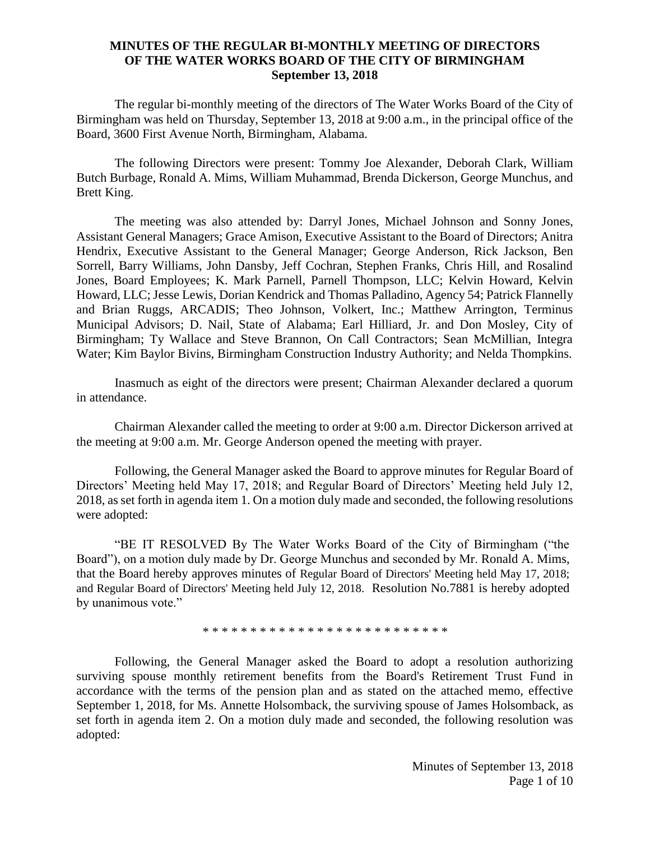## **MINUTES OF THE REGULAR BI-MONTHLY MEETING OF DIRECTORS OF THE WATER WORKS BOARD OF THE CITY OF BIRMINGHAM September 13, 2018**

The regular bi-monthly meeting of the directors of The Water Works Board of the City of Birmingham was held on Thursday, September 13, 2018 at 9:00 a.m., in the principal office of the Board, 3600 First Avenue North, Birmingham, Alabama.

The following Directors were present: Tommy Joe Alexander, Deborah Clark, William Butch Burbage, Ronald A. Mims, William Muhammad, Brenda Dickerson, George Munchus, and Brett King.

The meeting was also attended by: Darryl Jones, Michael Johnson and Sonny Jones, Assistant General Managers; Grace Amison, Executive Assistant to the Board of Directors; Anitra Hendrix, Executive Assistant to the General Manager; George Anderson, Rick Jackson, Ben Sorrell, Barry Williams, John Dansby, Jeff Cochran, Stephen Franks, Chris Hill, and Rosalind Jones, Board Employees; K. Mark Parnell, Parnell Thompson, LLC; Kelvin Howard, Kelvin Howard, LLC; Jesse Lewis, Dorian Kendrick and Thomas Palladino, Agency 54; Patrick Flannelly and Brian Ruggs, ARCADIS; Theo Johnson, Volkert, Inc.; Matthew Arrington, Terminus Municipal Advisors; D. Nail, State of Alabama; Earl Hilliard, Jr. and Don Mosley, City of Birmingham; Ty Wallace and Steve Brannon, On Call Contractors; Sean McMillian, Integra Water; Kim Baylor Bivins, Birmingham Construction Industry Authority; and Nelda Thompkins.

Inasmuch as eight of the directors were present; Chairman Alexander declared a quorum in attendance.

Chairman Alexander called the meeting to order at 9:00 a.m. Director Dickerson arrived at the meeting at 9:00 a.m. Mr. George Anderson opened the meeting with prayer.

Following, the General Manager asked the Board to approve minutes for Regular Board of Directors' Meeting held May 17, 2018; and Regular Board of Directors' Meeting held July 12, 2018, as set forth in agenda item 1. On a motion duly made and seconded, the following resolutions were adopted:

"BE IT RESOLVED By The Water Works Board of the City of Birmingham ("the Board"), on a motion duly made by Dr. George Munchus and seconded by Mr. Ronald A. Mims, that the Board hereby approves minutes of Regular Board of Directors' Meeting held May 17, 2018; and Regular Board of Directors' Meeting held July 12, 2018. Resolution No.7881 is hereby adopted by unanimous vote."

\* \* \* \* \* \* \* \* \* \* \* \* \* \* \* \* \* \* \* \* \* \* \* \* \* \*

Following, the General Manager asked the Board to adopt a resolution authorizing surviving spouse monthly retirement benefits from the Board's Retirement Trust Fund in accordance with the terms of the pension plan and as stated on the attached memo, effective September 1, 2018, for Ms. Annette Holsomback, the surviving spouse of James Holsomback, as set forth in agenda item 2. On a motion duly made and seconded, the following resolution was adopted: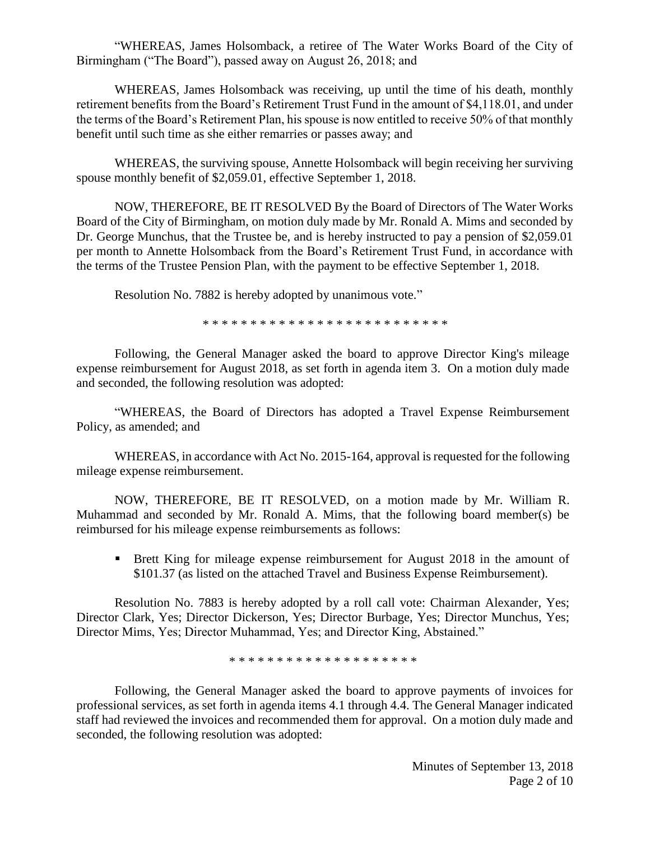"WHEREAS, James Holsomback, a retiree of The Water Works Board of the City of Birmingham ("The Board"), passed away on August 26, 2018; and

WHEREAS, James Holsomback was receiving, up until the time of his death, monthly retirement benefits from the Board's Retirement Trust Fund in the amount of \$4,118.01, and under the terms of the Board's Retirement Plan, his spouse is now entitled to receive 50% of that monthly benefit until such time as she either remarries or passes away; and

WHEREAS, the surviving spouse, Annette Holsomback will begin receiving her surviving spouse monthly benefit of \$2,059.01, effective September 1, 2018.

NOW, THEREFORE, BE IT RESOLVED By the Board of Directors of The Water Works Board of the City of Birmingham, on motion duly made by Mr. Ronald A. Mims and seconded by Dr. George Munchus, that the Trustee be, and is hereby instructed to pay a pension of \$2,059.01 per month to Annette Holsomback from the Board's Retirement Trust Fund, in accordance with the terms of the Trustee Pension Plan, with the payment to be effective September 1, 2018.

Resolution No. 7882 is hereby adopted by unanimous vote."

\* \* \* \* \* \* \* \* \* \* \* \* \* \* \* \* \* \* \* \* \* \* \* \* \* \*

Following, the General Manager asked the board to approve Director King's mileage expense reimbursement for August 2018, as set forth in agenda item 3. On a motion duly made and seconded, the following resolution was adopted:

"WHEREAS, the Board of Directors has adopted a Travel Expense Reimbursement Policy, as amended; and

WHEREAS, in accordance with Act No. 2015-164, approval is requested for the following mileage expense reimbursement.

NOW, THEREFORE, BE IT RESOLVED, on a motion made by Mr. William R. Muhammad and seconded by Mr. Ronald A. Mims, that the following board member(s) be reimbursed for his mileage expense reimbursements as follows:

▪ Brett King for mileage expense reimbursement for August 2018 in the amount of \$101.37 (as listed on the attached Travel and Business Expense Reimbursement).

Resolution No. 7883 is hereby adopted by a roll call vote: Chairman Alexander, Yes; Director Clark, Yes; Director Dickerson, Yes; Director Burbage, Yes; Director Munchus, Yes; Director Mims, Yes; Director Muhammad, Yes; and Director King, Abstained."

\* \* \* \* \* \* \* \* \* \* \* \* \* \* \* \* \* \* \* \*

Following, the General Manager asked the board to approve payments of invoices for professional services, as set forth in agenda items 4.1 through 4.4. The General Manager indicated staff had reviewed the invoices and recommended them for approval. On a motion duly made and seconded, the following resolution was adopted: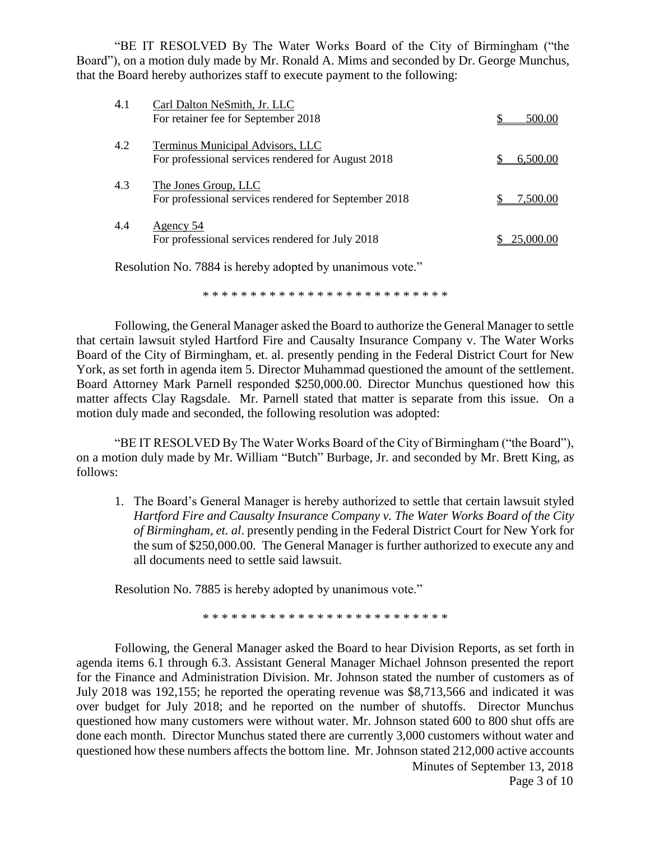"BE IT RESOLVED By The Water Works Board of the City of Birmingham ("the Board"), on a motion duly made by Mr. Ronald A. Mims and seconded by Dr. George Munchus, that the Board hereby authorizes staff to execute payment to the following:

| 4.1 | Carl Dalton NeSmith, Jr. LLC<br>For retainer fee for September 2018                    | 500.00    |
|-----|----------------------------------------------------------------------------------------|-----------|
| 4.2 | Terminus Municipal Advisors, LLC<br>For professional services rendered for August 2018 | 6.500.00  |
| 4.3 | The Jones Group, LLC<br>For professional services rendered for September 2018          | 7,500.00  |
| 4.4 | Agency 54<br>For professional services rendered for July 2018                          | 25,000,00 |

Resolution No. 7884 is hereby adopted by unanimous vote."

\* \* \* \* \* \* \* \* \* \* \* \* \* \* \* \* \* \* \* \* \* \* \* \* \* \*

Following, the General Manager asked the Board to authorize the General Manager to settle that certain lawsuit styled Hartford Fire and Causalty Insurance Company v. The Water Works Board of the City of Birmingham, et. al. presently pending in the Federal District Court for New York, as set forth in agenda item 5. Director Muhammad questioned the amount of the settlement. Board Attorney Mark Parnell responded \$250,000.00. Director Munchus questioned how this matter affects Clay Ragsdale. Mr. Parnell stated that matter is separate from this issue. On a motion duly made and seconded, the following resolution was adopted:

"BE IT RESOLVED By The Water Works Board of the City of Birmingham ("the Board"), on a motion duly made by Mr. William "Butch" Burbage, Jr. and seconded by Mr. Brett King, as follows:

1. The Board's General Manager is hereby authorized to settle that certain lawsuit styled *Hartford Fire and Causalty Insurance Company v. The Water Works Board of the City of Birmingham, et. al*. presently pending in the Federal District Court for New York for the sum of \$250,000.00. The General Manager is further authorized to execute any and all documents need to settle said lawsuit.

Resolution No. 7885 is hereby adopted by unanimous vote."

\* \* \* \* \* \* \* \* \* \* \* \* \* \* \* \* \* \* \* \* \* \* \* \* \* \*

Following, the General Manager asked the Board to hear Division Reports, as set forth in agenda items 6.1 through 6.3. Assistant General Manager Michael Johnson presented the report for the Finance and Administration Division. Mr. Johnson stated the number of customers as of July 2018 was 192,155; he reported the operating revenue was \$8,713,566 and indicated it was over budget for July 2018; and he reported on the number of shutoffs. Director Munchus questioned how many customers were without water. Mr. Johnson stated 600 to 800 shut offs are done each month. Director Munchus stated there are currently 3,000 customers without water and questioned how these numbers affects the bottom line. Mr. Johnson stated 212,000 active accounts

Minutes of September 13, 2018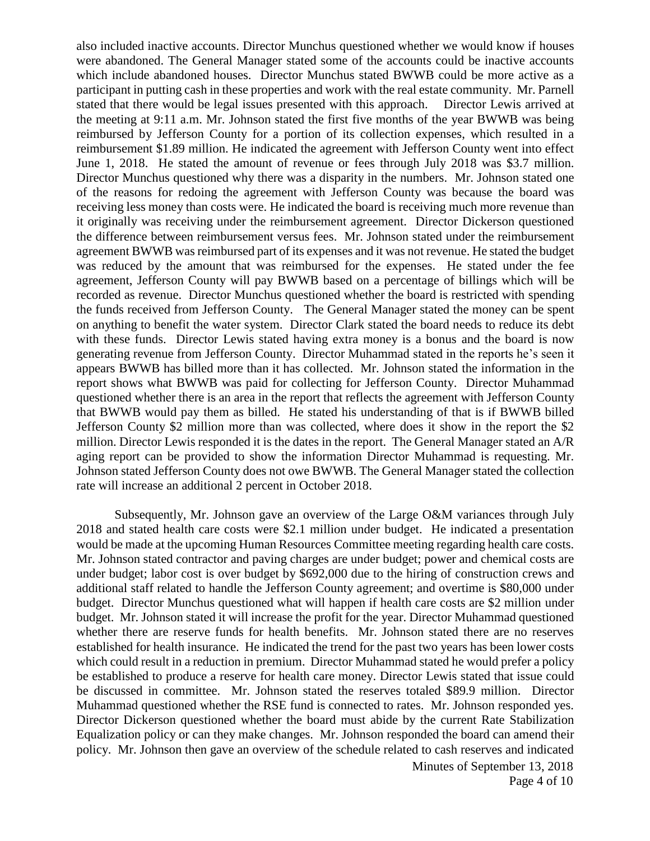also included inactive accounts. Director Munchus questioned whether we would know if houses were abandoned. The General Manager stated some of the accounts could be inactive accounts which include abandoned houses. Director Munchus stated BWWB could be more active as a participant in putting cash in these properties and work with the real estate community. Mr. Parnell stated that there would be legal issues presented with this approach. Director Lewis arrived at the meeting at 9:11 a.m. Mr. Johnson stated the first five months of the year BWWB was being reimbursed by Jefferson County for a portion of its collection expenses, which resulted in a reimbursement \$1.89 million. He indicated the agreement with Jefferson County went into effect June 1, 2018. He stated the amount of revenue or fees through July 2018 was \$3.7 million. Director Munchus questioned why there was a disparity in the numbers. Mr. Johnson stated one of the reasons for redoing the agreement with Jefferson County was because the board was receiving less money than costs were. He indicated the board is receiving much more revenue than it originally was receiving under the reimbursement agreement. Director Dickerson questioned the difference between reimbursement versus fees. Mr. Johnson stated under the reimbursement agreement BWWB was reimbursed part of its expenses and it was not revenue. He stated the budget was reduced by the amount that was reimbursed for the expenses. He stated under the fee agreement, Jefferson County will pay BWWB based on a percentage of billings which will be recorded as revenue. Director Munchus questioned whether the board is restricted with spending the funds received from Jefferson County. The General Manager stated the money can be spent on anything to benefit the water system. Director Clark stated the board needs to reduce its debt with these funds. Director Lewis stated having extra money is a bonus and the board is now generating revenue from Jefferson County. Director Muhammad stated in the reports he's seen it appears BWWB has billed more than it has collected. Mr. Johnson stated the information in the report shows what BWWB was paid for collecting for Jefferson County. Director Muhammad questioned whether there is an area in the report that reflects the agreement with Jefferson County that BWWB would pay them as billed. He stated his understanding of that is if BWWB billed Jefferson County \$2 million more than was collected, where does it show in the report the \$2 million. Director Lewis responded it is the dates in the report. The General Manager stated an A/R aging report can be provided to show the information Director Muhammad is requesting. Mr. Johnson stated Jefferson County does not owe BWWB. The General Manager stated the collection rate will increase an additional 2 percent in October 2018.

Subsequently, Mr. Johnson gave an overview of the Large O&M variances through July 2018 and stated health care costs were \$2.1 million under budget. He indicated a presentation would be made at the upcoming Human Resources Committee meeting regarding health care costs. Mr. Johnson stated contractor and paving charges are under budget; power and chemical costs are under budget; labor cost is over budget by \$692,000 due to the hiring of construction crews and additional staff related to handle the Jefferson County agreement; and overtime is \$80,000 under budget. Director Munchus questioned what will happen if health care costs are \$2 million under budget. Mr. Johnson stated it will increase the profit for the year. Director Muhammad questioned whether there are reserve funds for health benefits. Mr. Johnson stated there are no reserves established for health insurance. He indicated the trend for the past two years has been lower costs which could result in a reduction in premium. Director Muhammad stated he would prefer a policy be established to produce a reserve for health care money. Director Lewis stated that issue could be discussed in committee. Mr. Johnson stated the reserves totaled \$89.9 million. Director Muhammad questioned whether the RSE fund is connected to rates. Mr. Johnson responded yes. Director Dickerson questioned whether the board must abide by the current Rate Stabilization Equalization policy or can they make changes. Mr. Johnson responded the board can amend their policy. Mr. Johnson then gave an overview of the schedule related to cash reserves and indicated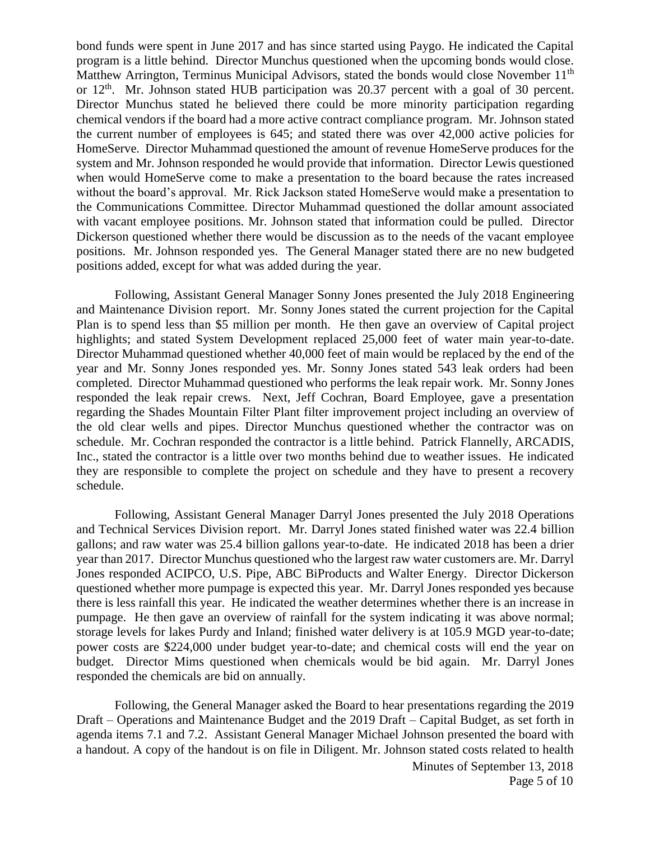bond funds were spent in June 2017 and has since started using Paygo. He indicated the Capital program is a little behind. Director Munchus questioned when the upcoming bonds would close. Matthew Arrington, Terminus Municipal Advisors, stated the bonds would close November 11<sup>th</sup> or  $12<sup>th</sup>$ . Mr. Johnson stated HUB participation was 20.37 percent with a goal of 30 percent. Director Munchus stated he believed there could be more minority participation regarding chemical vendors if the board had a more active contract compliance program. Mr. Johnson stated the current number of employees is 645; and stated there was over 42,000 active policies for HomeServe. Director Muhammad questioned the amount of revenue HomeServe produces for the system and Mr. Johnson responded he would provide that information. Director Lewis questioned when would HomeServe come to make a presentation to the board because the rates increased without the board's approval. Mr. Rick Jackson stated HomeServe would make a presentation to the Communications Committee. Director Muhammad questioned the dollar amount associated with vacant employee positions. Mr. Johnson stated that information could be pulled. Director Dickerson questioned whether there would be discussion as to the needs of the vacant employee positions. Mr. Johnson responded yes. The General Manager stated there are no new budgeted positions added, except for what was added during the year.

Following, Assistant General Manager Sonny Jones presented the July 2018 Engineering and Maintenance Division report. Mr. Sonny Jones stated the current projection for the Capital Plan is to spend less than \$5 million per month. He then gave an overview of Capital project highlights; and stated System Development replaced 25,000 feet of water main year-to-date. Director Muhammad questioned whether 40,000 feet of main would be replaced by the end of the year and Mr. Sonny Jones responded yes. Mr. Sonny Jones stated 543 leak orders had been completed. Director Muhammad questioned who performs the leak repair work. Mr. Sonny Jones responded the leak repair crews. Next, Jeff Cochran, Board Employee, gave a presentation regarding the Shades Mountain Filter Plant filter improvement project including an overview of the old clear wells and pipes. Director Munchus questioned whether the contractor was on schedule. Mr. Cochran responded the contractor is a little behind. Patrick Flannelly, ARCADIS, Inc., stated the contractor is a little over two months behind due to weather issues. He indicated they are responsible to complete the project on schedule and they have to present a recovery schedule.

Following, Assistant General Manager Darryl Jones presented the July 2018 Operations and Technical Services Division report. Mr. Darryl Jones stated finished water was 22.4 billion gallons; and raw water was 25.4 billion gallons year-to-date. He indicated 2018 has been a drier year than 2017. Director Munchus questioned who the largest raw water customers are. Mr. Darryl Jones responded ACIPCO, U.S. Pipe, ABC BiProducts and Walter Energy. Director Dickerson questioned whether more pumpage is expected this year. Mr. Darryl Jones responded yes because there is less rainfall this year. He indicated the weather determines whether there is an increase in pumpage. He then gave an overview of rainfall for the system indicating it was above normal; storage levels for lakes Purdy and Inland; finished water delivery is at 105.9 MGD year-to-date; power costs are \$224,000 under budget year-to-date; and chemical costs will end the year on budget. Director Mims questioned when chemicals would be bid again. Mr. Darryl Jones responded the chemicals are bid on annually.

Following, the General Manager asked the Board to hear presentations regarding the 2019 Draft – Operations and Maintenance Budget and the 2019 Draft – Capital Budget, as set forth in agenda items 7.1 and 7.2. Assistant General Manager Michael Johnson presented the board with a handout. A copy of the handout is on file in Diligent. Mr. Johnson stated costs related to health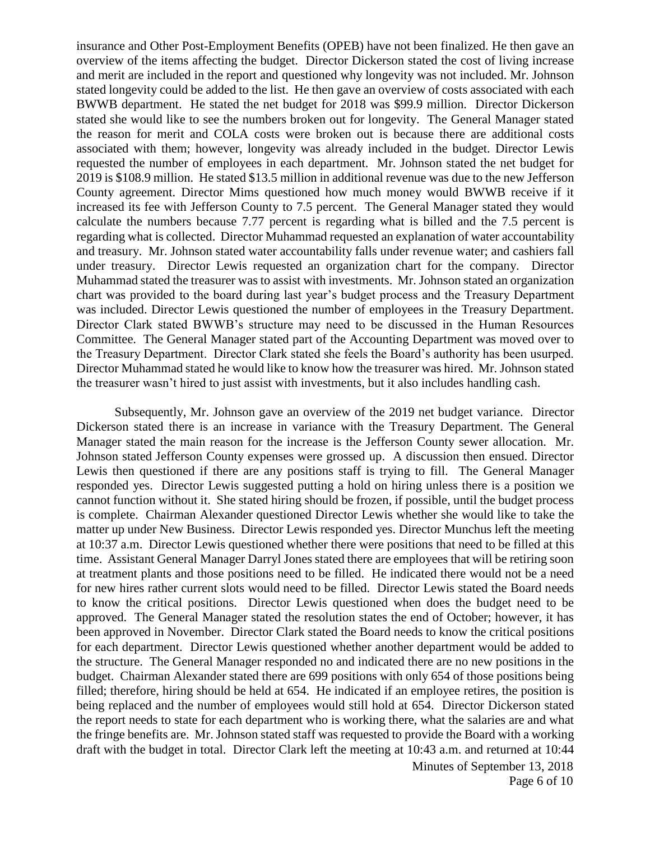insurance and Other Post-Employment Benefits (OPEB) have not been finalized. He then gave an overview of the items affecting the budget. Director Dickerson stated the cost of living increase and merit are included in the report and questioned why longevity was not included. Mr. Johnson stated longevity could be added to the list. He then gave an overview of costs associated with each BWWB department. He stated the net budget for 2018 was \$99.9 million. Director Dickerson stated she would like to see the numbers broken out for longevity. The General Manager stated the reason for merit and COLA costs were broken out is because there are additional costs associated with them; however, longevity was already included in the budget. Director Lewis requested the number of employees in each department. Mr. Johnson stated the net budget for 2019 is \$108.9 million. He stated \$13.5 million in additional revenue was due to the new Jefferson County agreement. Director Mims questioned how much money would BWWB receive if it increased its fee with Jefferson County to 7.5 percent. The General Manager stated they would calculate the numbers because 7.77 percent is regarding what is billed and the 7.5 percent is regarding what is collected. Director Muhammad requested an explanation of water accountability and treasury. Mr. Johnson stated water accountability falls under revenue water; and cashiers fall under treasury. Director Lewis requested an organization chart for the company. Director Muhammad stated the treasurer was to assist with investments. Mr. Johnson stated an organization chart was provided to the board during last year's budget process and the Treasury Department was included. Director Lewis questioned the number of employees in the Treasury Department. Director Clark stated BWWB's structure may need to be discussed in the Human Resources Committee. The General Manager stated part of the Accounting Department was moved over to the Treasury Department. Director Clark stated she feels the Board's authority has been usurped. Director Muhammad stated he would like to know how the treasurer was hired. Mr. Johnson stated the treasurer wasn't hired to just assist with investments, but it also includes handling cash.

Subsequently, Mr. Johnson gave an overview of the 2019 net budget variance. Director Dickerson stated there is an increase in variance with the Treasury Department. The General Manager stated the main reason for the increase is the Jefferson County sewer allocation. Mr. Johnson stated Jefferson County expenses were grossed up. A discussion then ensued. Director Lewis then questioned if there are any positions staff is trying to fill. The General Manager responded yes. Director Lewis suggested putting a hold on hiring unless there is a position we cannot function without it. She stated hiring should be frozen, if possible, until the budget process is complete. Chairman Alexander questioned Director Lewis whether she would like to take the matter up under New Business. Director Lewis responded yes. Director Munchus left the meeting at 10:37 a.m. Director Lewis questioned whether there were positions that need to be filled at this time. Assistant General Manager Darryl Jones stated there are employees that will be retiring soon at treatment plants and those positions need to be filled. He indicated there would not be a need for new hires rather current slots would need to be filled. Director Lewis stated the Board needs to know the critical positions. Director Lewis questioned when does the budget need to be approved. The General Manager stated the resolution states the end of October; however, it has been approved in November. Director Clark stated the Board needs to know the critical positions for each department. Director Lewis questioned whether another department would be added to the structure. The General Manager responded no and indicated there are no new positions in the budget. Chairman Alexander stated there are 699 positions with only 654 of those positions being filled; therefore, hiring should be held at 654. He indicated if an employee retires, the position is being replaced and the number of employees would still hold at 654. Director Dickerson stated the report needs to state for each department who is working there, what the salaries are and what the fringe benefits are. Mr. Johnson stated staff was requested to provide the Board with a working draft with the budget in total. Director Clark left the meeting at 10:43 a.m. and returned at 10:44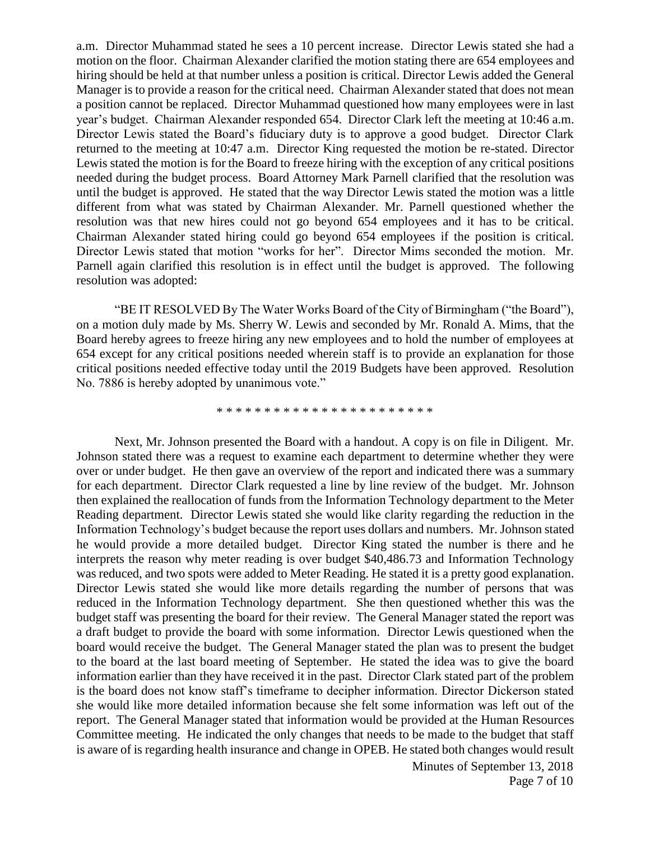a.m. Director Muhammad stated he sees a 10 percent increase. Director Lewis stated she had a motion on the floor. Chairman Alexander clarified the motion stating there are 654 employees and hiring should be held at that number unless a position is critical. Director Lewis added the General Manager is to provide a reason for the critical need. Chairman Alexander stated that does not mean a position cannot be replaced. Director Muhammad questioned how many employees were in last year's budget. Chairman Alexander responded 654. Director Clark left the meeting at 10:46 a.m. Director Lewis stated the Board's fiduciary duty is to approve a good budget. Director Clark returned to the meeting at 10:47 a.m. Director King requested the motion be re-stated. Director Lewis stated the motion is for the Board to freeze hiring with the exception of any critical positions needed during the budget process. Board Attorney Mark Parnell clarified that the resolution was until the budget is approved. He stated that the way Director Lewis stated the motion was a little different from what was stated by Chairman Alexander. Mr. Parnell questioned whether the resolution was that new hires could not go beyond 654 employees and it has to be critical. Chairman Alexander stated hiring could go beyond 654 employees if the position is critical. Director Lewis stated that motion "works for her". Director Mims seconded the motion. Mr. Parnell again clarified this resolution is in effect until the budget is approved. The following resolution was adopted:

"BE IT RESOLVED By The Water Works Board of the City of Birmingham ("the Board"), on a motion duly made by Ms. Sherry W. Lewis and seconded by Mr. Ronald A. Mims, that the Board hereby agrees to freeze hiring any new employees and to hold the number of employees at 654 except for any critical positions needed wherein staff is to provide an explanation for those critical positions needed effective today until the 2019 Budgets have been approved. Resolution No. 7886 is hereby adopted by unanimous vote."

\* \* \* \* \* \* \* \* \* \* \* \* \* \* \* \* \* \* \* \* \* \* \*

Next, Mr. Johnson presented the Board with a handout. A copy is on file in Diligent. Mr. Johnson stated there was a request to examine each department to determine whether they were over or under budget. He then gave an overview of the report and indicated there was a summary for each department. Director Clark requested a line by line review of the budget. Mr. Johnson then explained the reallocation of funds from the Information Technology department to the Meter Reading department. Director Lewis stated she would like clarity regarding the reduction in the Information Technology's budget because the report uses dollars and numbers. Mr. Johnson stated he would provide a more detailed budget. Director King stated the number is there and he interprets the reason why meter reading is over budget \$40,486.73 and Information Technology was reduced, and two spots were added to Meter Reading. He stated it is a pretty good explanation. Director Lewis stated she would like more details regarding the number of persons that was reduced in the Information Technology department. She then questioned whether this was the budget staff was presenting the board for their review. The General Manager stated the report was a draft budget to provide the board with some information. Director Lewis questioned when the board would receive the budget. The General Manager stated the plan was to present the budget to the board at the last board meeting of September. He stated the idea was to give the board information earlier than they have received it in the past. Director Clark stated part of the problem is the board does not know staff's timeframe to decipher information. Director Dickerson stated she would like more detailed information because she felt some information was left out of the report. The General Manager stated that information would be provided at the Human Resources Committee meeting. He indicated the only changes that needs to be made to the budget that staff is aware of is regarding health insurance and change in OPEB. He stated both changes would result

> Minutes of September 13, 2018 Page 7 of 10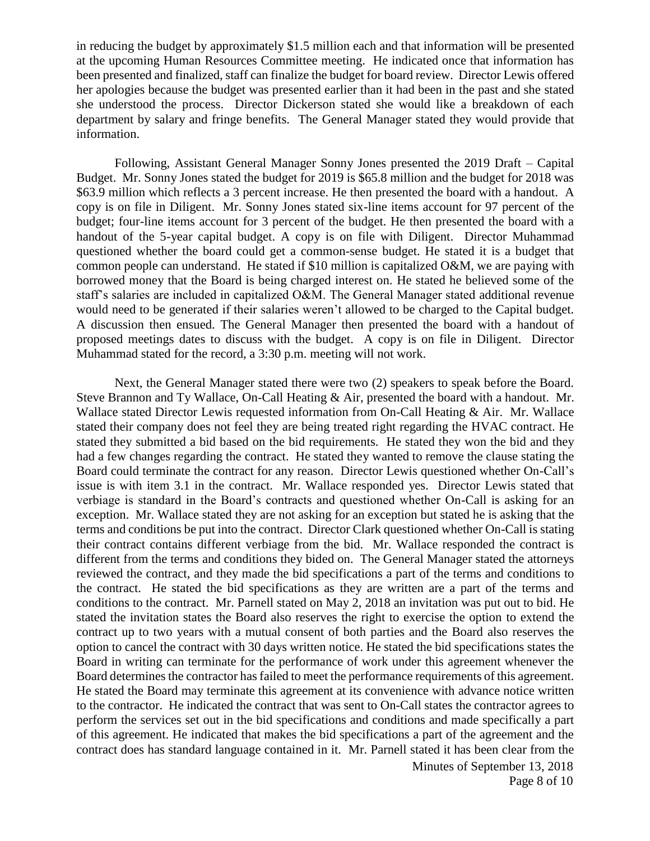in reducing the budget by approximately \$1.5 million each and that information will be presented at the upcoming Human Resources Committee meeting. He indicated once that information has been presented and finalized, staff can finalize the budget for board review. Director Lewis offered her apologies because the budget was presented earlier than it had been in the past and she stated she understood the process. Director Dickerson stated she would like a breakdown of each department by salary and fringe benefits. The General Manager stated they would provide that information.

Following, Assistant General Manager Sonny Jones presented the 2019 Draft – Capital Budget. Mr. Sonny Jones stated the budget for 2019 is \$65.8 million and the budget for 2018 was \$63.9 million which reflects a 3 percent increase. He then presented the board with a handout. A copy is on file in Diligent. Mr. Sonny Jones stated six-line items account for 97 percent of the budget; four-line items account for 3 percent of the budget. He then presented the board with a handout of the 5-year capital budget. A copy is on file with Diligent. Director Muhammad questioned whether the board could get a common-sense budget. He stated it is a budget that common people can understand. He stated if \$10 million is capitalized O&M, we are paying with borrowed money that the Board is being charged interest on. He stated he believed some of the staff's salaries are included in capitalized O&M. The General Manager stated additional revenue would need to be generated if their salaries weren't allowed to be charged to the Capital budget. A discussion then ensued. The General Manager then presented the board with a handout of proposed meetings dates to discuss with the budget. A copy is on file in Diligent. Director Muhammad stated for the record, a 3:30 p.m. meeting will not work.

Next, the General Manager stated there were two (2) speakers to speak before the Board. Steve Brannon and Ty Wallace, On-Call Heating & Air, presented the board with a handout. Mr. Wallace stated Director Lewis requested information from On-Call Heating & Air. Mr. Wallace stated their company does not feel they are being treated right regarding the HVAC contract. He stated they submitted a bid based on the bid requirements. He stated they won the bid and they had a few changes regarding the contract. He stated they wanted to remove the clause stating the Board could terminate the contract for any reason. Director Lewis questioned whether On-Call's issue is with item 3.1 in the contract. Mr. Wallace responded yes. Director Lewis stated that verbiage is standard in the Board's contracts and questioned whether On-Call is asking for an exception. Mr. Wallace stated they are not asking for an exception but stated he is asking that the terms and conditions be put into the contract. Director Clark questioned whether On-Call is stating their contract contains different verbiage from the bid. Mr. Wallace responded the contract is different from the terms and conditions they bided on. The General Manager stated the attorneys reviewed the contract, and they made the bid specifications a part of the terms and conditions to the contract. He stated the bid specifications as they are written are a part of the terms and conditions to the contract. Mr. Parnell stated on May 2, 2018 an invitation was put out to bid. He stated the invitation states the Board also reserves the right to exercise the option to extend the contract up to two years with a mutual consent of both parties and the Board also reserves the option to cancel the contract with 30 days written notice. He stated the bid specifications states the Board in writing can terminate for the performance of work under this agreement whenever the Board determines the contractor has failed to meet the performance requirements of this agreement. He stated the Board may terminate this agreement at its convenience with advance notice written to the contractor. He indicated the contract that was sent to On-Call states the contractor agrees to perform the services set out in the bid specifications and conditions and made specifically a part of this agreement. He indicated that makes the bid specifications a part of the agreement and the contract does has standard language contained in it. Mr. Parnell stated it has been clear from the

> Minutes of September 13, 2018 Page 8 of 10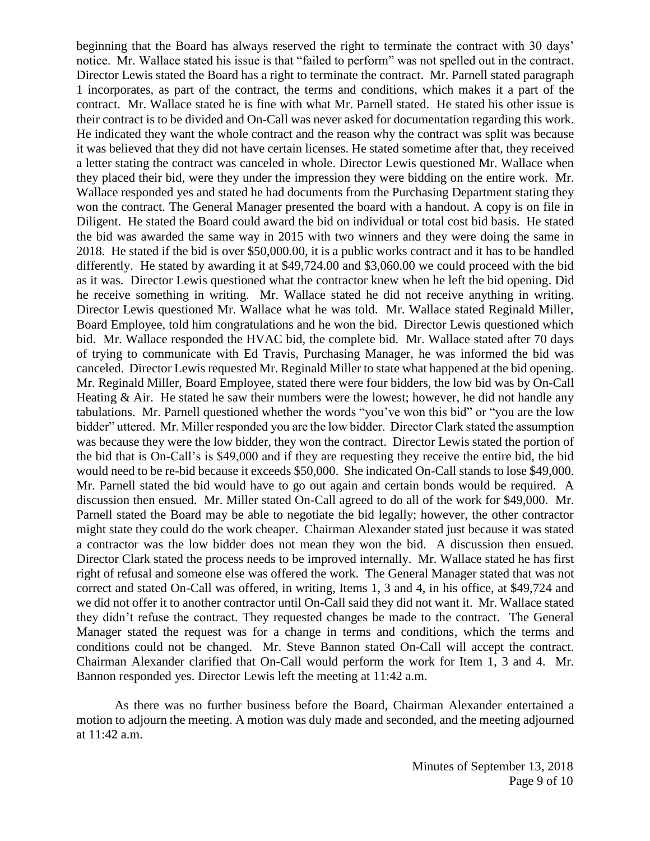beginning that the Board has always reserved the right to terminate the contract with 30 days' notice. Mr. Wallace stated his issue is that "failed to perform" was not spelled out in the contract. Director Lewis stated the Board has a right to terminate the contract. Mr. Parnell stated paragraph 1 incorporates, as part of the contract, the terms and conditions, which makes it a part of the contract. Mr. Wallace stated he is fine with what Mr. Parnell stated. He stated his other issue is their contract is to be divided and On-Call was never asked for documentation regarding this work. He indicated they want the whole contract and the reason why the contract was split was because it was believed that they did not have certain licenses. He stated sometime after that, they received a letter stating the contract was canceled in whole. Director Lewis questioned Mr. Wallace when they placed their bid, were they under the impression they were bidding on the entire work. Mr. Wallace responded yes and stated he had documents from the Purchasing Department stating they won the contract. The General Manager presented the board with a handout. A copy is on file in Diligent. He stated the Board could award the bid on individual or total cost bid basis. He stated the bid was awarded the same way in 2015 with two winners and they were doing the same in 2018. He stated if the bid is over \$50,000.00, it is a public works contract and it has to be handled differently. He stated by awarding it at \$49,724.00 and \$3,060.00 we could proceed with the bid as it was. Director Lewis questioned what the contractor knew when he left the bid opening. Did he receive something in writing. Mr. Wallace stated he did not receive anything in writing. Director Lewis questioned Mr. Wallace what he was told. Mr. Wallace stated Reginald Miller, Board Employee, told him congratulations and he won the bid. Director Lewis questioned which bid. Mr. Wallace responded the HVAC bid, the complete bid. Mr. Wallace stated after 70 days of trying to communicate with Ed Travis, Purchasing Manager, he was informed the bid was canceled. Director Lewis requested Mr. Reginald Miller to state what happened at the bid opening. Mr. Reginald Miller, Board Employee, stated there were four bidders, the low bid was by On-Call Heating  $\&$  Air. He stated he saw their numbers were the lowest; however, he did not handle any tabulations. Mr. Parnell questioned whether the words "you've won this bid" or "you are the low bidder" uttered. Mr. Miller responded you are the low bidder. Director Clark stated the assumption was because they were the low bidder, they won the contract. Director Lewis stated the portion of the bid that is On-Call's is \$49,000 and if they are requesting they receive the entire bid, the bid would need to be re-bid because it exceeds \$50,000. She indicated On-Call stands to lose \$49,000. Mr. Parnell stated the bid would have to go out again and certain bonds would be required. A discussion then ensued. Mr. Miller stated On-Call agreed to do all of the work for \$49,000. Mr. Parnell stated the Board may be able to negotiate the bid legally; however, the other contractor might state they could do the work cheaper. Chairman Alexander stated just because it was stated a contractor was the low bidder does not mean they won the bid. A discussion then ensued. Director Clark stated the process needs to be improved internally. Mr. Wallace stated he has first right of refusal and someone else was offered the work. The General Manager stated that was not correct and stated On-Call was offered, in writing, Items 1, 3 and 4, in his office, at \$49,724 and we did not offer it to another contractor until On-Call said they did not want it. Mr. Wallace stated they didn't refuse the contract. They requested changes be made to the contract. The General Manager stated the request was for a change in terms and conditions, which the terms and conditions could not be changed. Mr. Steve Bannon stated On-Call will accept the contract. Chairman Alexander clarified that On-Call would perform the work for Item 1, 3 and 4. Mr. Bannon responded yes. Director Lewis left the meeting at 11:42 a.m.

As there was no further business before the Board, Chairman Alexander entertained a motion to adjourn the meeting. A motion was duly made and seconded, and the meeting adjourned at 11:42 a.m.